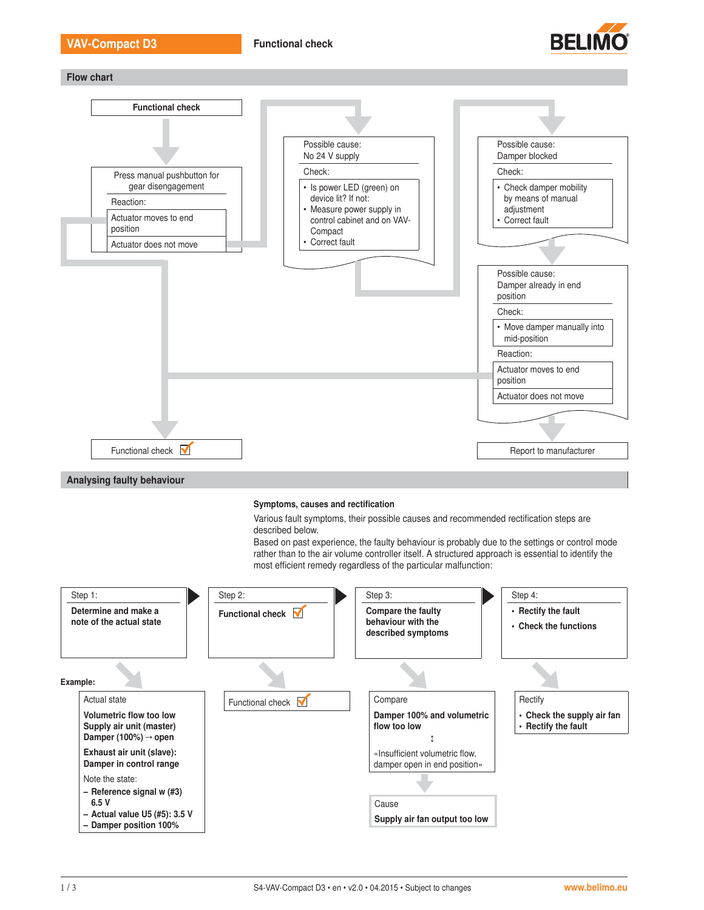

Flow chart



#### Symptoms, causes and rectification

Various fault symptoms, their possible causes and recommended rectification steps are described below.

Based on past experience, the faulty behaviour is probably due to the settings or control mode rather than to the air volume controller itself. A structured approach is essential to identify the most efficient remedy regardless of the particular malfunction:

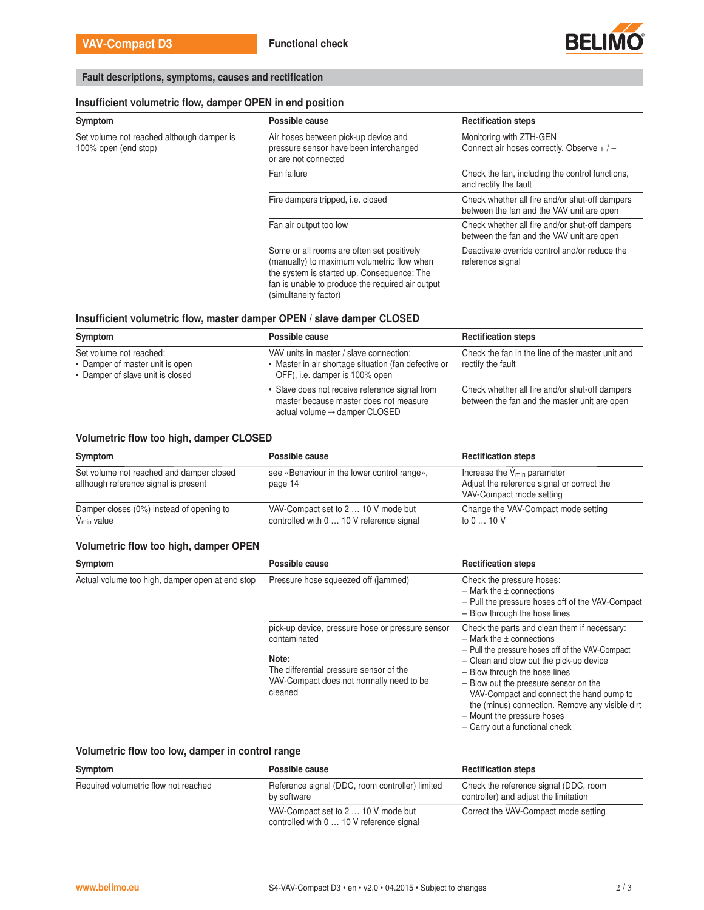

# Fault descriptions, symptoms, causes and rectification

### Insufficient volumetric flow, damper OPEN in end position

| Symptom                                                           | Possible cause                                                                                                                                                                                                      | <b>Rectification steps</b>                                                                  |
|-------------------------------------------------------------------|---------------------------------------------------------------------------------------------------------------------------------------------------------------------------------------------------------------------|---------------------------------------------------------------------------------------------|
| Set volume not reached although damper is<br>100% open (end stop) | Air hoses between pick-up device and<br>pressure sensor have been interchanged<br>or are not connected                                                                                                              | Monitoring with ZTH-GEN<br>Connect air hoses correctly. Observe $+/-$                       |
|                                                                   | Fan failure                                                                                                                                                                                                         | Check the fan, including the control functions,<br>and rectify the fault                    |
|                                                                   | Fire dampers tripped, i.e. closed                                                                                                                                                                                   | Check whether all fire and/or shut-off dampers<br>between the fan and the VAV unit are open |
|                                                                   | Fan air output too low                                                                                                                                                                                              | Check whether all fire and/or shut-off dampers<br>between the fan and the VAV unit are open |
|                                                                   | Some or all rooms are often set positively<br>(manually) to maximum volumetric flow when<br>the system is started up. Consequence: The<br>fan is unable to produce the required air output<br>(simultaneity factor) | Deactivate override control and/or reduce the<br>reference signal                           |

### Insufficient volumetric flow, master damper OPEN / slave damper CLOSED

| Symptom                                                                                        | Possible cause                                                                                                                        | <b>Rectification steps</b>                                                                     |
|------------------------------------------------------------------------------------------------|---------------------------------------------------------------------------------------------------------------------------------------|------------------------------------------------------------------------------------------------|
| Set volume not reached:<br>• Damper of master unit is open<br>• Damper of slave unit is closed | VAV units in master / slave connection:<br>• Master in air shortage situation (fan defective or<br>OFF), i.e. damper is 100% open     | Check the fan in the line of the master unit and<br>rectify the fault                          |
|                                                                                                | • Slave does not receive reference signal from<br>master because master does not measure<br>actual volume $\rightarrow$ damper CLOSED | Check whether all fire and/or shut-off dampers<br>between the fan and the master unit are open |

### Volumetric flow too high, damper CLOSED

| Symptom                                                                          | Possible cause                                                                  | <b>Rectification steps</b>                                                                                        |
|----------------------------------------------------------------------------------|---------------------------------------------------------------------------------|-------------------------------------------------------------------------------------------------------------------|
| Set volume not reached and damper closed<br>although reference signal is present | see «Behaviour in the lower control range».<br>page 14                          | Increase the $V_{\text{min}}$ parameter<br>Adjust the reference signal or correct the<br>VAV-Compact mode setting |
| Damper closes (0%) instead of opening to<br>V <sub>min</sub> value               | VAV-Compact set to 2  10 V mode but<br>controlled with 0  10 V reference signal | Change the VAV-Compact mode setting<br>to 0  10 V                                                                 |

### Volumetric flow too high, damper OPEN

| Symptom                                         | Possible cause                                                                                                                                                              | <b>Rectification steps</b>                                                                                                                                                                                                                                                                                                                                                                                             |
|-------------------------------------------------|-----------------------------------------------------------------------------------------------------------------------------------------------------------------------------|------------------------------------------------------------------------------------------------------------------------------------------------------------------------------------------------------------------------------------------------------------------------------------------------------------------------------------------------------------------------------------------------------------------------|
| Actual volume too high, damper open at end stop | Pressure hose squeezed off (jammed)                                                                                                                                         | Check the pressure hoses:<br>$-$ Mark the $\pm$ connections<br>- Pull the pressure hoses off of the VAV-Compact<br>- Blow through the hose lines                                                                                                                                                                                                                                                                       |
|                                                 | pick-up device, pressure hose or pressure sensor<br>contaminated<br>Note:<br>The differential pressure sensor of the<br>VAV-Compact does not normally need to be<br>cleaned | Check the parts and clean them if necessary:<br>$-$ Mark the $\pm$ connections<br>- Pull the pressure hoses off of the VAV-Compact<br>- Clean and blow out the pick-up device<br>- Blow through the hose lines<br>- Blow out the pressure sensor on the<br>VAV-Compact and connect the hand pump to<br>the (minus) connection. Remove any visible dirt<br>- Mount the pressure hoses<br>- Carry out a functional check |

### Volumetric flow too low, damper in control range

| Symptom                              | Possible cause                                                                  | <b>Rectification steps</b>                                                     |
|--------------------------------------|---------------------------------------------------------------------------------|--------------------------------------------------------------------------------|
| Required volumetric flow not reached | Reference signal (DDC, room controller) limited<br>by software                  | Check the reference signal (DDC, room<br>controller) and adjust the limitation |
|                                      | VAV-Compact set to 2  10 V mode but<br>controlled with 0  10 V reference signal | Correct the VAV-Compact mode setting                                           |